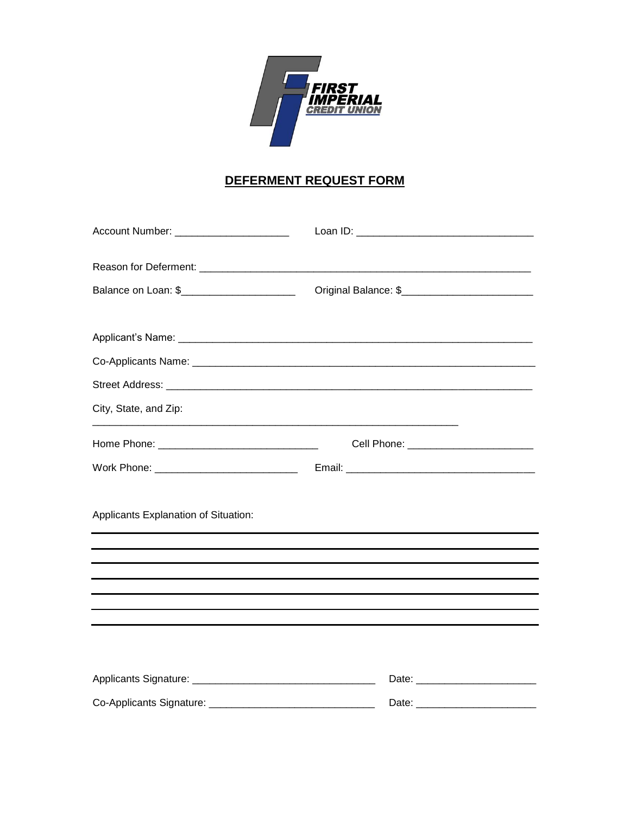

## DEFERMENT REQUEST FORM

| Account Number: _______________________                      |                                           |
|--------------------------------------------------------------|-------------------------------------------|
|                                                              |                                           |
| Balance on Loan: \$_________________________                 |                                           |
|                                                              |                                           |
|                                                              |                                           |
|                                                              |                                           |
| City, State, and Zip:                                        |                                           |
|                                                              | Cell Phone: _____________________________ |
|                                                              |                                           |
| Applicants Explanation of Situation:                         |                                           |
|                                                              |                                           |
|                                                              |                                           |
|                                                              |                                           |
|                                                              |                                           |
|                                                              |                                           |
|                                                              |                                           |
| Co-Applicants Signature: ___________________________________ |                                           |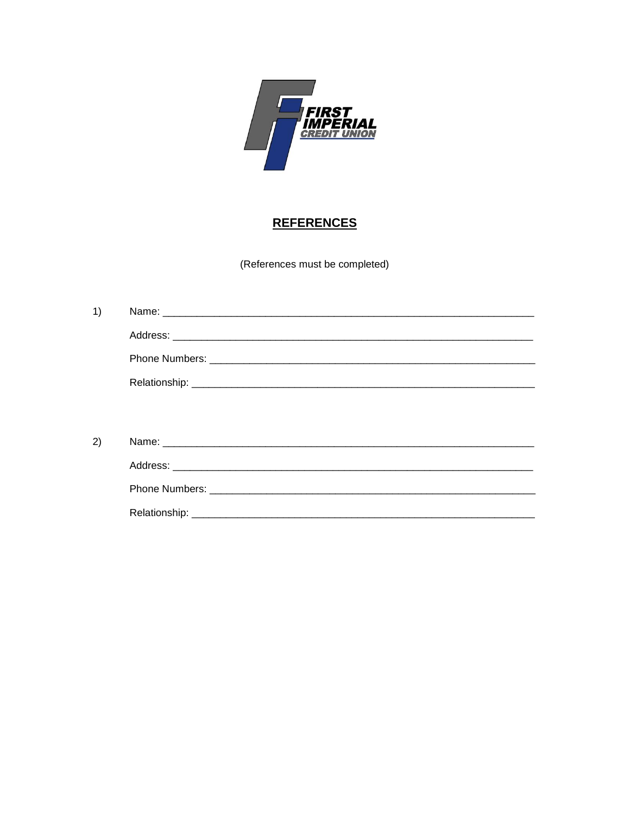

## **REFERENCES**

(References must be completed)

| 1) |  |
|----|--|
|    |  |
|    |  |
|    |  |
|    |  |
|    |  |
| 2) |  |
|    |  |
|    |  |
|    |  |